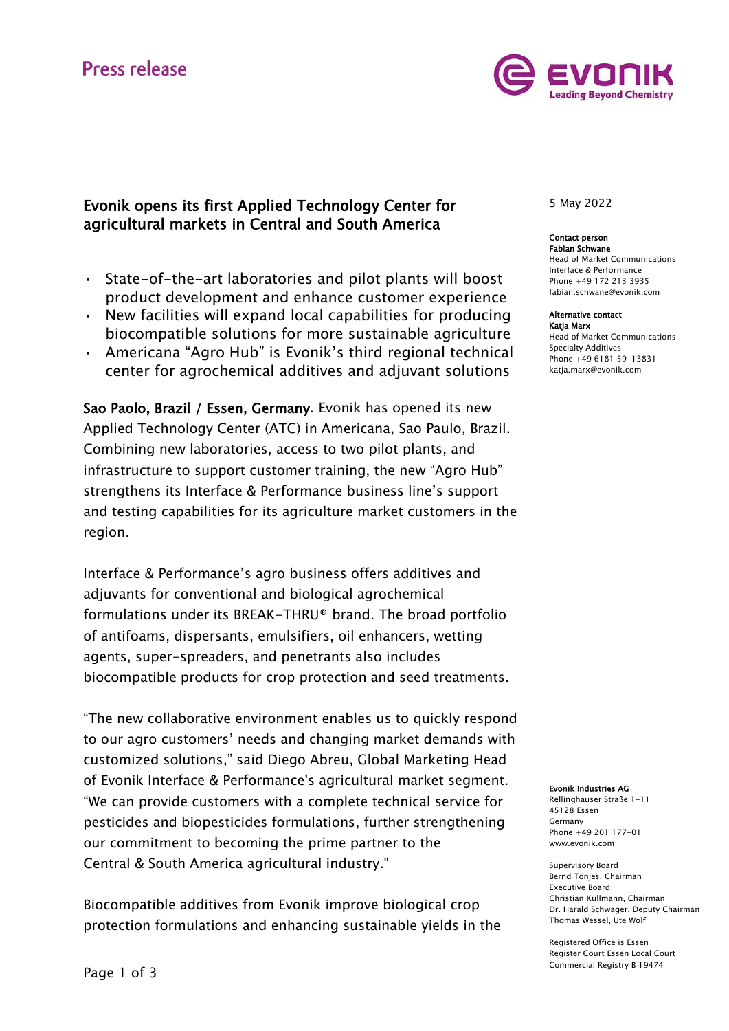## **Press release**



## Evonik opens its first Applied Technology Center for agricultural markets in Central and South America

- State-of-the-art laboratories and pilot plants will boost product development and enhance customer experience
- New facilities will expand local capabilities for producing biocompatible solutions for more sustainable agriculture
- Americana "Agro Hub" is Evonik's third regional technical center for agrochemical additives and adjuvant solutions

Sao Paolo, Brazil / Essen, Germany. Evonik has opened its new Applied Technology Center (ATC) in Americana, Sao Paulo, Brazil. Combining new laboratories, access to two pilot plants, and infrastructure to support customer training, the new "Agro Hub" strengthens its Interface & Performance business line's support and testing capabilities for its agriculture market customers in the region.

Interface & Performance's agro business offers additives and adjuvants for conventional and biological agrochemical formulations under its BREAK-THRU® brand. The broad portfolio of antifoams, dispersants, emulsifiers, oil enhancers, wetting agents, super-spreaders, and penetrants also includes biocompatible products for crop protection and seed treatments.

"The new collaborative environment enables us to quickly respond to our agro customers' needs and changing market demands with customized solutions," said Diego Abreu, Global Marketing Head of Evonik Interface & Performance's agricultural market segment. "We can provide customers with a complete technical service for pesticides and biopesticides formulations, further strengthening our commitment to becoming the prime partner to the Central & South America agricultural industry."

Biocompatible additives from Evonik improve biological crop protection formulations and enhancing sustainable yields in the 5 May 2022

## Contact person

Fabian Schwane Head of Market Communications Interface & Performance Phone +49 172 213 3935 fabian.schwane@evonik.com

#### Alternative contact

Katja Marx Head of Market Communications Specialty Additives Phone +49 6181 59-13831 [katja.marx@evonik.com](mailto:katja.marx@evonik.com)

#### Evonik Industries AG

Rellinghauser Straße 1-11 45128 Essen Germany Phone +49 201 177-01 www.evonik.com

Supervisory Board Bernd Tönjes, Chairman Executive Board Christian Kullmann, Chairman Dr. Harald Schwager, Deputy Chairman Thomas Wessel, Ute Wolf

Registered Office is Essen Register Court Essen Local Court Commercial Registry B 19474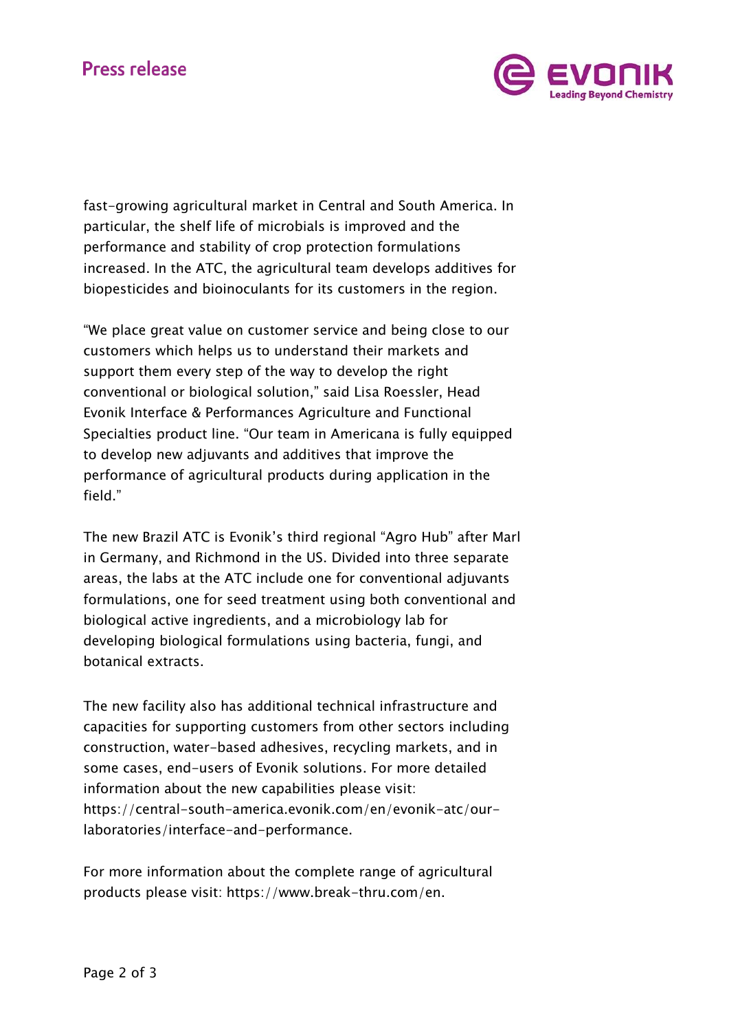# **Press release**



fast-growing agricultural market in Central and South America. In particular, the shelf life of microbials is improved and the performance and stability of crop protection formulations increased. In the ATC, the agricultural team develops additives for biopesticides and bioinoculants for its customers in the region.

"We place great value on customer service and being close to our customers which helps us to understand their markets and support them every step of the way to develop the right conventional or biological solution," said Lisa Roessler, Head Evonik Interface & Performances Agriculture and Functional Specialties product line. "Our team in Americana is fully equipped to develop new adjuvants and additives that improve the performance of agricultural products during application in the field."

The new Brazil ATC is Evonik's third regional "Agro Hub" after Marl in Germany, and Richmond in the US. Divided into three separate areas, the labs at the ATC include one for conventional adjuvants formulations, one for seed treatment using both conventional and biological active ingredients, and a microbiology lab for developing biological formulations using bacteria, fungi, and botanical extracts.

The new facility also has additional technical infrastructure and capacities for supporting customers from other sectors including construction, water-based adhesives, recycling markets, and in some cases, end-users of Evonik solutions. For more detailed information about the new capabilities please visit: [https://central-south-america.evonik.com/en/evonik-atc/our](https://central-south-america.evonik.com/en/evonik-atc/our-laboratories/interface-and-performance)[laboratories/interface-and-performance.](https://central-south-america.evonik.com/en/evonik-atc/our-laboratories/interface-and-performance)

For more information about the complete range of agricultural products please visit: [https://www.break-thru.com/en.](https://www.break-thru.com/en)